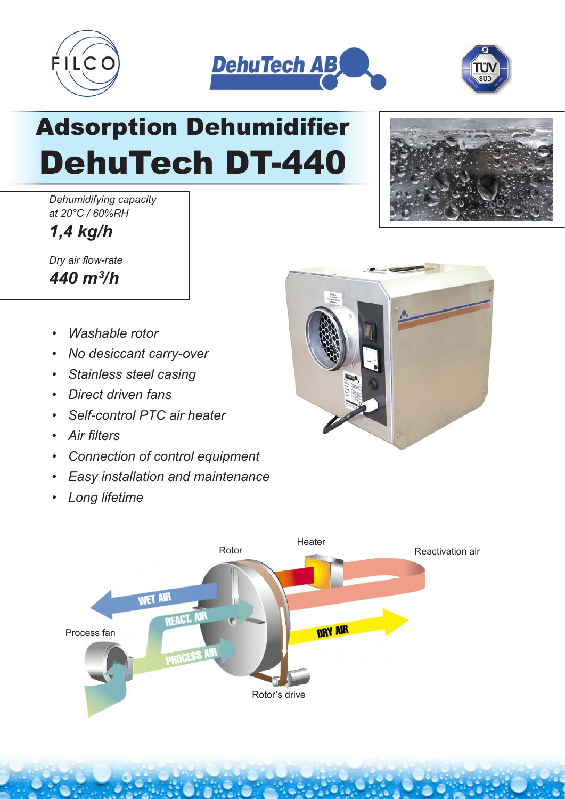





## Adsorption Dehumidifier DehuTech DT-440

*Dehumidifying capacity at 20°C / 60%RH*

*1,4 kg/h*

*Dry air flow-rate 440 m3 /h*

- *Washable rotor*
- *No desiccant carry-over*
- *Stainless steel casing*
- *Direct driven fans*
- *Self-control PTC air heater*
- *Air filters*
- *Connection of control equipment*
- *Easy installation and maintenance*
- *Long lifetime*